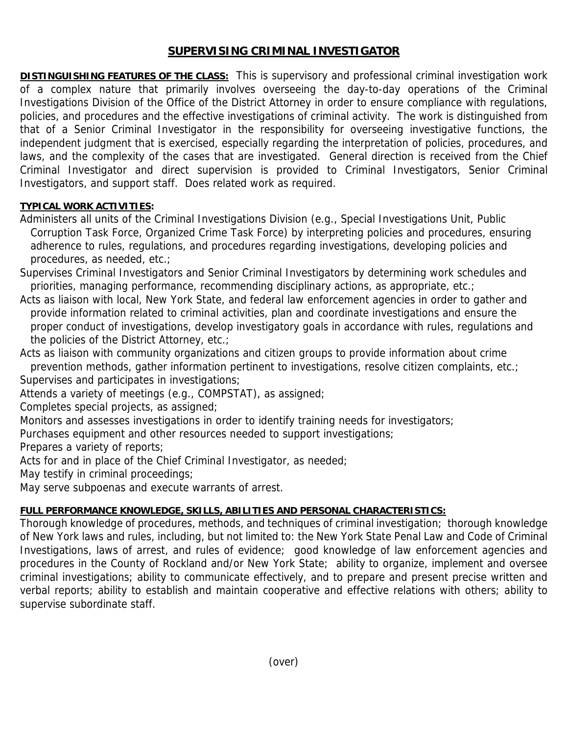## **SUPERVISING CRIMINAL INVESTIGATOR**

**DISTINGUISHING FEATURES OF THE CLASS:** This is supervisory and professional criminal investigation work of a complex nature that primarily involves overseeing the day-to-day operations of the Criminal Investigations Division of the Office of the District Attorney in order to ensure compliance with regulations, policies, and procedures and the effective investigations of criminal activity. The work is distinguished from that of a Senior Criminal Investigator in the responsibility for overseeing investigative functions, the independent judgment that is exercised, especially regarding the interpretation of policies, procedures, and laws, and the complexity of the cases that are investigated. General direction is received from the Chief Criminal Investigator and direct supervision is provided to Criminal Investigators, Senior Criminal Investigators, and support staff. Does related work as required.

### **TYPICAL WORK ACTIVITIES:**

Administers all units of the Criminal Investigations Division (e.g., Special Investigations Unit, Public Corruption Task Force, Organized Crime Task Force) by interpreting policies and procedures, ensuring adherence to rules, regulations, and procedures regarding investigations, developing policies and procedures, as needed, etc.;

Supervises Criminal Investigators and Senior Criminal Investigators by determining work schedules and priorities, managing performance, recommending disciplinary actions, as appropriate, etc.;

Acts as liaison with local, New York State, and federal law enforcement agencies in order to gather and provide information related to criminal activities, plan and coordinate investigations and ensure the proper conduct of investigations, develop investigatory goals in accordance with rules, regulations and the policies of the District Attorney, etc.;

Acts as liaison with community organizations and citizen groups to provide information about crime prevention methods, gather information pertinent to investigations, resolve citizen complaints, etc.;

Supervises and participates in investigations;

Attends a variety of meetings (e.g., COMPSTAT), as assigned;

Completes special projects, as assigned;

Monitors and assesses investigations in order to identify training needs for investigators;

Purchases equipment and other resources needed to support investigations;

Prepares a variety of reports;

Acts for and in place of the Chief Criminal Investigator, as needed;

May testify in criminal proceedings;

May serve subpoenas and execute warrants of arrest.

# **FULL PERFORMANCE KNOWLEDGE, SKILLS, ABILITIES AND PERSONAL CHARACTERISTICS:**

Thorough knowledge of procedures, methods, and techniques of criminal investigation; thorough knowledge of New York laws and rules, including, but not limited to: the New York State Penal Law and Code of Criminal Investigations, laws of arrest, and rules of evidence; good knowledge of law enforcement agencies and procedures in the County of Rockland and/or New York State; ability to organize, implement and oversee criminal investigations; ability to communicate effectively, and to prepare and present precise written and verbal reports; ability to establish and maintain cooperative and effective relations with others; ability to supervise subordinate staff.